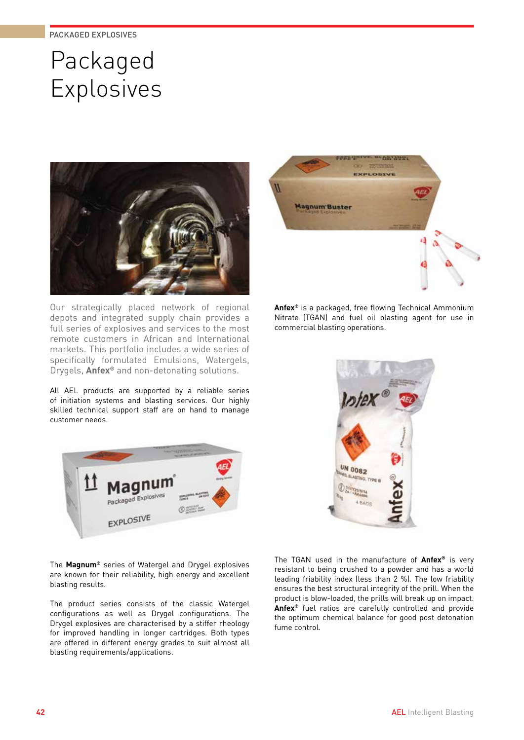# Packaged Explosives



Our strategically placed network of regional depots and integrated supply chain provides a full series of explosives and services to the most remote customers in African and International markets. This portfolio includes a wide series of specifically formulated Emulsions, Watergels, Drygels, **Anfex®** and non-detonating solutions.

All AEL products are supported by a reliable series of initiation systems and blasting services. Our highly skilled technical support staff are on hand to manage customer needs.



The **Magnum®** series of Watergel and Drygel explosives are known for their reliability, high energy and excellent blasting results.

The product series consists of the classic Watergel configurations as well as Drygel configurations. The Drygel explosives are characterised by a stiffer rheology for improved handling in longer cartridges. Both types are offered in different energy grades to suit almost all blasting requirements/applications.



**Anfex®** is a packaged, free flowing Technical Ammonium Nitrate (TGAN) and fuel oil blasting agent for use in commercial blasting operations.



The TGAN used in the manufacture of **Anfex®** is very resistant to being crushed to a powder and has a world leading friability index (less than 2 %). The low friability ensures the best structural integrity of the prill. When the product is blow-loaded, the prills will break up on impact. **Anfex®** fuel ratios are carefully controlled and provide the optimum chemical balance for good post detonation fume control.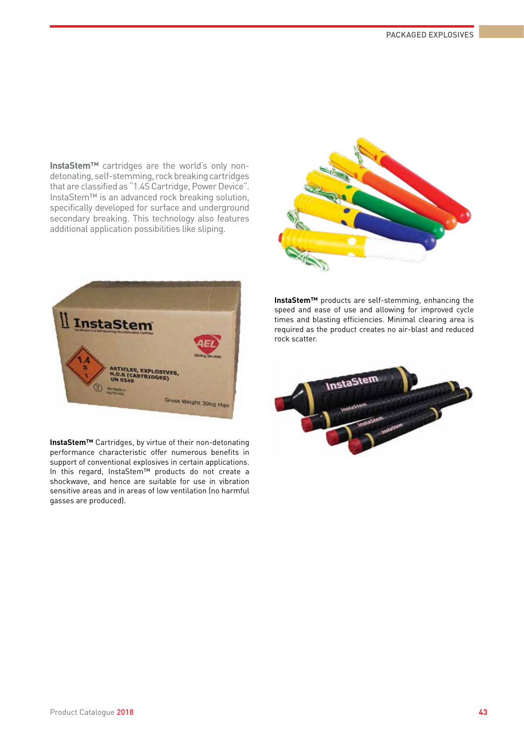**InstaStem™** cartridges are the world's only nondetonating, self-stemming, rock breaking cartridges that are classified as "1.4S Cartridge, Power Device". InstaStem™ is an advanced rock breaking solution, specifically developed for surface and underground secondary breaking. This technology also features additional application possibilities like sliping.





**InstaStem™** Cartridges, by virtue of their non-detonating performance characteristic offer numerous benefits in support of conventional explosives in certain applications. In this regard, InstaStem™ products do not create a shockwave, and hence are suitable for use in vibration sensitive areas and in areas of low ventilation (no harmful gasses are produced).

**InstaStem™** products are self-stemming, enhancing the speed and ease of use and allowing for improved cycle times and blasting efficiencies. Minimal clearing area is required as the product creates no air-blast and reduced rock scatter.

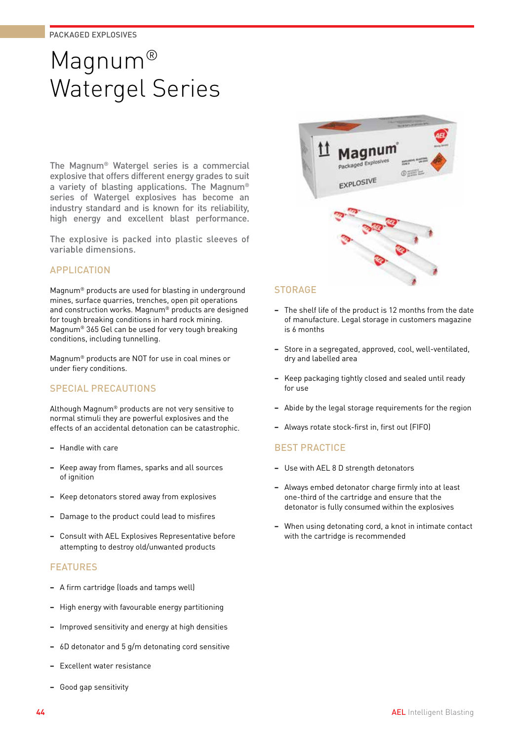# Magnum® Watergel Series

The Magnum® Watergel series is a commercial explosive that offers different energy grades to suit a variety of blasting applications. The Magnum® series of Watergel explosives has become an industry standard and is known for its reliability, high energy and excellent blast performance.

The explosive is packed into plastic sleeves of variable dimensions.

## APPLICATION

Magnum® products are used for blasting in underground mines, surface quarries, trenches, open pit operations and construction works. Magnum® products are designed for tough breaking conditions in hard rock mining. Magnum® 365 Gel can be used for very tough breaking conditions, including tunnelling.

Magnum® products are NOT for use in coal mines or under fiery conditions.

## SPECIAL PRECAUTIONS

Although Magnum® products are not very sensitive to normal stimuli they are powerful explosives and the effects of an accidental detonation can be catastrophic.

- **−** Handle with care
- **−** Keep away from flames, sparks and all sources of ianition
- **−** Keep detonators stored away from explosives
- **−** Damage to the product could lead to misfires
- **−** Consult with AEL Explosives Representative before attempting to destroy old/unwanted products

## FEATURES

- **−** A firm cartridge (loads and tamps well)
- **−** High energy with favourable energy partitioning
- **−** Improved sensitivity and energy at high densities
- **−** 6D detonator and 5 g/m detonating cord sensitive
- **−** Excellent water resistance
- **−** Good gap sensitivity



## **STORAGE**

- **−** The shelf life of the product is 12 months from the date of manufacture. Legal storage in customers magazine is 6 months
- **−** Store in a segregated, approved, cool, well-ventilated, dry and labelled area
- **−** Keep packaging tightly closed and sealed until ready for use
- **−** Abide by the legal storage requirements for the region
- **−** Always rotate stock-first in, first out (FIFO)

- **−** Use with AEL 8 D strength detonators
- **−** Always embed detonator charge firmly into at least one-third of the cartridge and ensure that the detonator is fully consumed within the explosives
- **−** When using detonating cord, a knot in intimate contact with the cartridge is recommended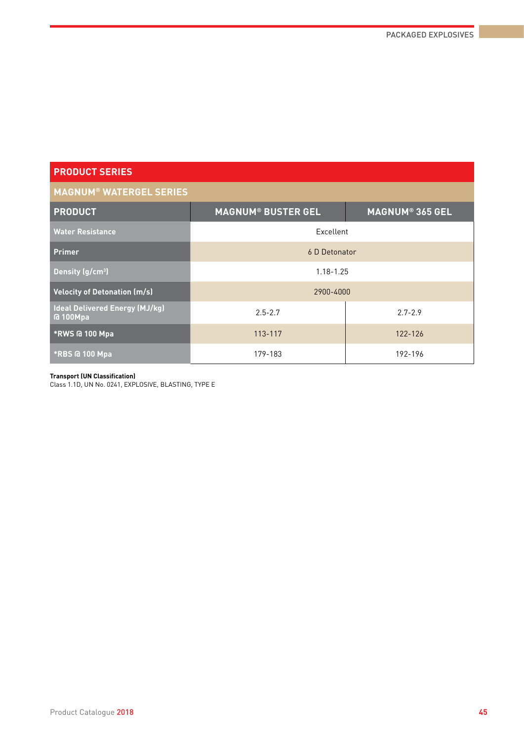## **MAGNUM® WATERGEL SERIES**

| <b>PRODUCT</b>                                           | <b>MAGNUM® BUSTER GEL</b> | <b>MAGNUM® 365 GEL</b> |  |  |  |
|----------------------------------------------------------|---------------------------|------------------------|--|--|--|
| <b>Water Resistance</b>                                  | Excellent                 |                        |  |  |  |
| <b>Primer</b>                                            | 6 D Detonator             |                        |  |  |  |
| Density (g/cm <sup>3</sup> )                             | $1.18 - 1.25$             |                        |  |  |  |
| <b>Velocity of Detonation (m/s)</b>                      | 2900-4000                 |                        |  |  |  |
| <b>Ideal Delivered Energy (MJ/kg)</b><br><b>a</b> 100Mpa | $2.5 - 2.7$               | $2.7 - 2.9$            |  |  |  |
| *RWS @ 100 Mpa                                           | 113-117                   | 122-126                |  |  |  |
| <b>*RBS @ 100 Mpa</b>                                    | 179-183                   | 192-196                |  |  |  |

#### **Transport (UN Classification)**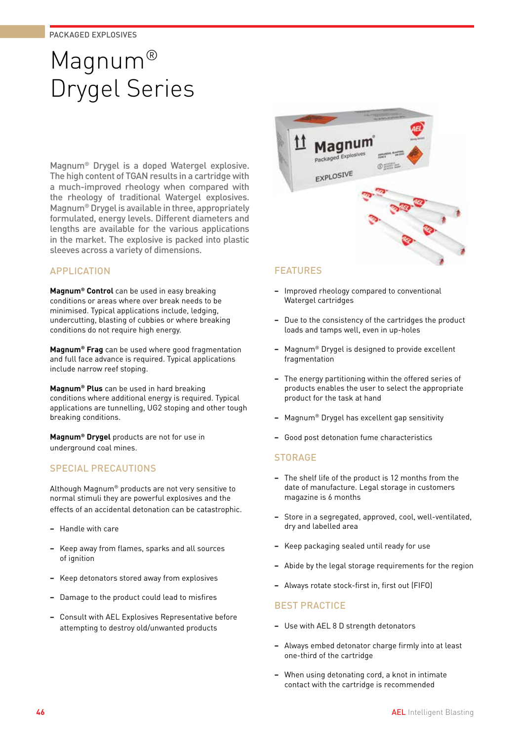# Magnum® Drygel Series

Magnum® Drygel is a doped Watergel explosive. The high content of TGAN results in a cartridge with a much-improved rheology when compared with the rheology of traditional Watergel explosives. Magnum® Drygel is available in three, appropriately formulated, energy levels. Different diameters and lengths are available for the various applications in the market. The explosive is packed into plastic sleeves across a variety of dimensions.

## APPLICATION

**Magnum® Control** can be used in easy breaking conditions or areas where over break needs to be minimised. Typical applications include, ledging, undercutting, blasting of cubbies or where breaking conditions do not require high energy.

**Magnum® Frag** can be used where good fragmentation and full face advance is required. Typical applications include narrow reef stoping.

**Magnum® Plus** can be used in hard breaking conditions where additional energy is required. Typical applications are tunnelling, UG2 stoping and other tough breaking conditions.

**Magnum® Drygel** products are not for use in underground coal mines.

## SPECIAL PRECAUTIONS

Although Magnum® products are not very sensitive to normal stimuli they are powerful explosives and the effects of an accidental detonation can be catastrophic.

- **−** Handle with care
- **−** Keep away from flames, sparks and all sources of ignition
- **−** Keep detonators stored away from explosives
- **−** Damage to the product could lead to misfires
- **−** Consult with AEL Explosives Representative before attempting to destroy old/unwanted products



## FEATURES

- **−** Improved rheology compared to conventional Watergel cartridges
- **−** Due to the consistency of the cartridges the product loads and tamps well, even in up-holes
- **−** Magnum® Drygel is designed to provide excellent fragmentation
- **−** The energy partitioning within the offered series of products enables the user to select the appropriate product for the task at hand
- **−** Magnum® Drygel has excellent gap sensitivity
- **−** Good post detonation fume characteristics

## **STORAGE**

- **−** The shelf life of the product is 12 months from the date of manufacture. Legal storage in customers magazine is 6 months
- **−** Store in a segregated, approved, cool, well-ventilated, dry and labelled area
- **−** Keep packaging sealed until ready for use
- **−** Abide by the legal storage requirements for the region
- **−** Always rotate stock-first in, first out (FIFO)

- **−** Use with AEL 8 D strength detonators
- **−** Always embed detonator charge firmly into at least one-third of the cartridge
- **−** When using detonating cord, a knot in intimate contact with the cartridge is recommended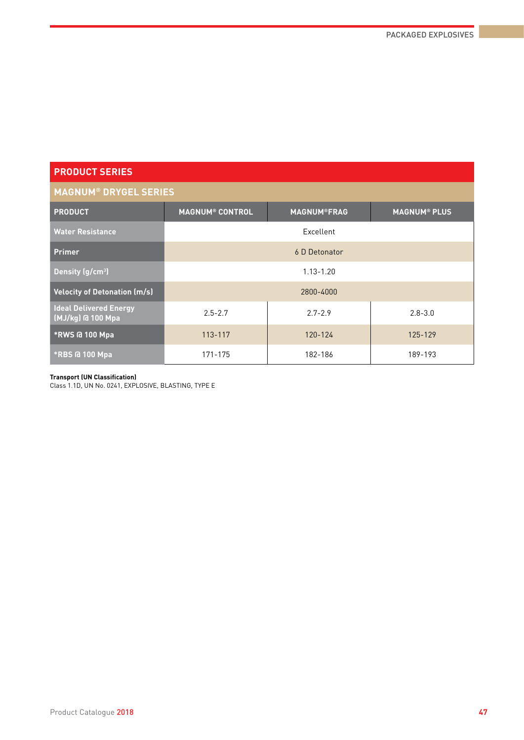## **MAGNUM® DRYGEL SERIES**

| MAVILVI – DRIVEE JERIEJ                            |                                                                                |             |             |  |  |  |  |  |
|----------------------------------------------------|--------------------------------------------------------------------------------|-------------|-------------|--|--|--|--|--|
| <b>PRODUCT</b>                                     | <b>MAGNUM<sup>®</sup> CONTROL</b><br><b>MAGNUM®FRAG</b><br><b>MAGNUM® PLUS</b> |             |             |  |  |  |  |  |
| <b>Water Resistance</b>                            |                                                                                | Excellent   |             |  |  |  |  |  |
| <b>Primer</b>                                      | 6 D Detonator                                                                  |             |             |  |  |  |  |  |
| Density (g/cm <sup>3</sup> )                       | $1.13 - 1.20$                                                                  |             |             |  |  |  |  |  |
| <b>Velocity of Detonation (m/s)</b>                | 2800-4000                                                                      |             |             |  |  |  |  |  |
| <b>Ideal Delivered Energy</b><br>(MJ/kg) @ 100 Mpa | $2.5 - 2.7$                                                                    | $2.7 - 2.9$ | $2.8 - 3.0$ |  |  |  |  |  |
| *RWS @ 100 Mpa                                     | 113-117                                                                        | 120-124     | 125-129     |  |  |  |  |  |
| *RBS @ 100 Mpa                                     | 171-175                                                                        | 182-186     | 189-193     |  |  |  |  |  |

#### **Transport (UN Classification)**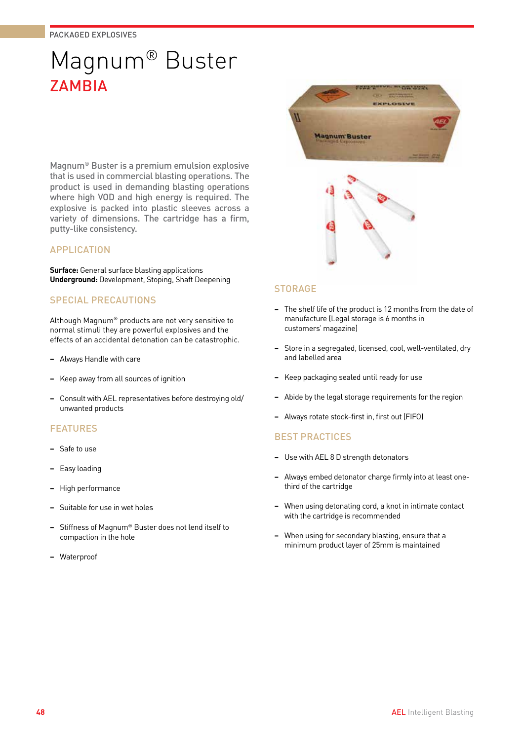# Magnum® Buster **ZAMBIA**

Magnum® Buster is a premium emulsion explosive that is used in commercial blasting operations. The product is used in demanding blasting operations where high VOD and high energy is required. The explosive is packed into plastic sleeves across a variety of dimensions. The cartridge has a firm, putty-like consistency.

## APPLICATION

**Surface:** General surface blasting applications **Underground:** Development, Stoping, Shaft Deepening

## SPECIAL PRECAUTIONS

Although Magnum® products are not very sensitive to normal stimuli they are powerful explosives and the effects of an accidental detonation can be catastrophic.

- **−** Always Handle with care
- **−** Keep away from all sources of ignition
- **−** Consult with AEL representatives before destroying old/ unwanted products

## FEATURES

- **−** Safe to use
- **−** Easy loading
- **−** High performance
- **−** Suitable for use in wet holes
- **−** Stiffness of Magnum® Buster does not lend itself to compaction in the hole
- **−** Waterproof





## **STORAGE**

- **−** The shelf life of the product is 12 months from the date of manufacture (Legal storage is 6 months in customers' magazine)
- **−** Store in a segregated, licensed, cool, well-ventilated, dry and labelled area
- **−** Keep packaging sealed until ready for use
- **−** Abide by the legal storage requirements for the region
- **−** Always rotate stock-first in, first out (FIFO)

- **−** Use with AEL 8 D strength detonators
- **−** Always embed detonator charge firmly into at least onethird of the cartridge
- **−** When using detonating cord, a knot in intimate contact with the cartridge is recommended
- **−** When using for secondary blasting, ensure that a minimum product layer of 25mm is maintained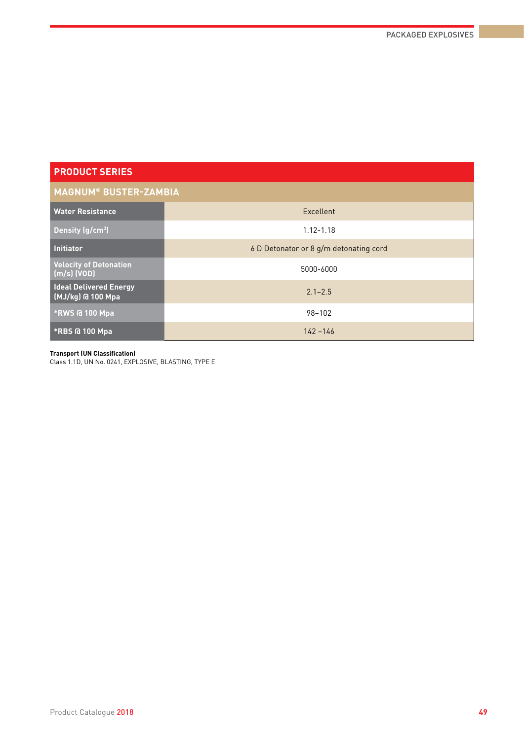| <b>MAGNUM® BUSTER-ZAMBIA</b>                           |                                        |  |  |  |  |
|--------------------------------------------------------|----------------------------------------|--|--|--|--|
| <b>Water Resistance</b>                                | Excellent                              |  |  |  |  |
| Density $(g/cm3)$                                      | $1.12 - 1.18$                          |  |  |  |  |
| <b>Initiator</b>                                       | 6 D Detonator or 8 g/m detonating cord |  |  |  |  |
| <b>Velocity of Detonation</b><br>$\lfloor$ (m/s) (VOD) | 5000-6000                              |  |  |  |  |
| <b>Ideal Delivered Energy</b><br>(MJ/kg) @ 100 Mpa     | $2.1 - 2.5$                            |  |  |  |  |
| *RWS @ 100 Mpa                                         | 98-102                                 |  |  |  |  |
| *RBS @ 100 Mpa                                         | $142 - 146$                            |  |  |  |  |

#### **Transport (UN Classification)**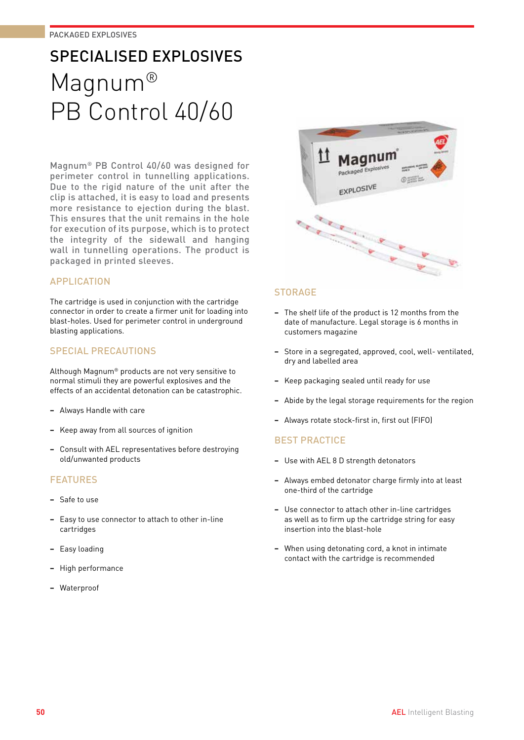# SPECIALISED EXPLOSIVES Magnum® PB Control 40/60

Magnum® PB Control 40/60 was designed for perimeter control in tunnelling applications. Due to the rigid nature of the unit after the clip is attached, it is easy to load and presents more resistance to ejection during the blast. This ensures that the unit remains in the hole for execution of its purpose, which is to protect the integrity of the sidewall and hanging wall in tunnelling operations. The product is packaged in printed sleeves.

## APPLICATION

The cartridge is used in conjunction with the cartridge connector in order to create a firmer unit for loading into blast-holes. Used for perimeter control in underground blasting applications.

## SPECIAL PRECAUTIONS

Although Magnum® products are not very sensitive to normal stimuli they are powerful explosives and the effects of an accidental detonation can be catastrophic.

- **−** Always Handle with care
- **−** Keep away from all sources of ignition
- **−** Consult with AEL representatives before destroying old/unwanted products

## **FFATURES**

- **−** Safe to use
- **−** Easy to use connector to attach to other in-line cartridges
- **−** Easy loading
- **−** High performance
- **−** Waterproof



## **STORAGE**

- **−** The shelf life of the product is 12 months from the date of manufacture. Legal storage is 6 months in customers magazine
- **−** Store in a segregated, approved, cool, well- ventilated, dry and labelled area
- **−** Keep packaging sealed until ready for use
- **−** Abide by the legal storage requirements for the region
- **−** Always rotate stock-first in, first out (FIFO)

- **−** Use with AEL 8 D strength detonators
- **−** Always embed detonator charge firmly into at least one-third of the cartridge
- **−** Use connector to attach other in-line cartridges as well as to firm up the cartridge string for easy insertion into the blast-hole
- **−** When using detonating cord, a knot in intimate contact with the cartridge is recommended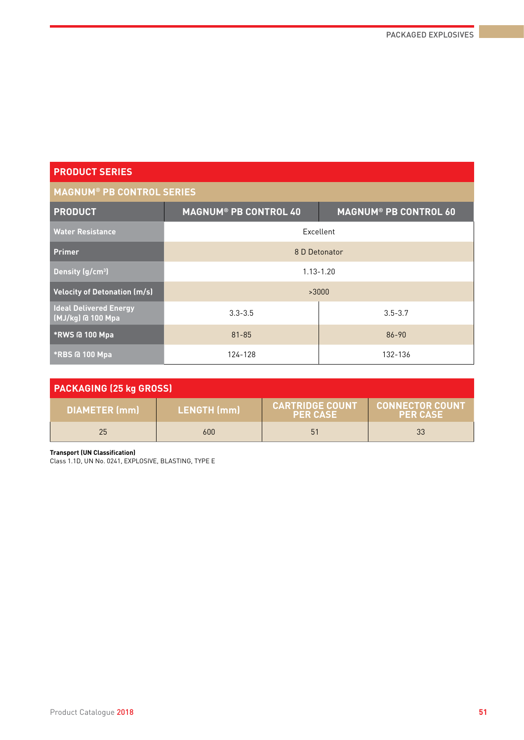## **MAGNUM® PB CONTROL SERIES**

| <b>PRODUCT</b>                      | <b>MAGNUM® PB CONTROL 40</b> | <b>MAGNUM<sup>®</sup> PB CONTROL 60</b> |  |  |  |  |
|-------------------------------------|------------------------------|-----------------------------------------|--|--|--|--|
| <b>Water Resistance</b>             | Excellent                    |                                         |  |  |  |  |
| <b>Primer</b>                       | 8 D Detonator                |                                         |  |  |  |  |
| Density (g/cm <sup>3</sup> )        | $1.13 - 1.20$                |                                         |  |  |  |  |
| <b>Velocity of Detonation (m/s)</b> | >3000                        |                                         |  |  |  |  |
| <b>Ideal Delivered Energy</b>       | $3.3 - 3.5$                  | $3.5 - 3.7$                             |  |  |  |  |
| *RWS @ 100 Mpa                      | $81 - 85$                    | 86-90                                   |  |  |  |  |
| <b>*RBS @ 100 Mpa</b>               | 124-128                      | 132-136                                 |  |  |  |  |

| <b>PACKAGING (25 kg GROSS)</b> |                    |                                           |                                           |  |  |  |
|--------------------------------|--------------------|-------------------------------------------|-------------------------------------------|--|--|--|
| <b>DIAMETER</b> (mm)           | <b>LENGTH</b> (mm) | <b>CARTRIDGE COUNT</b><br><b>PER CASE</b> | <b>CONNECTOR COUNT</b><br><b>PER CASE</b> |  |  |  |
| 25                             | 600                | 51                                        | 33                                        |  |  |  |

**Transport (UN Classification)**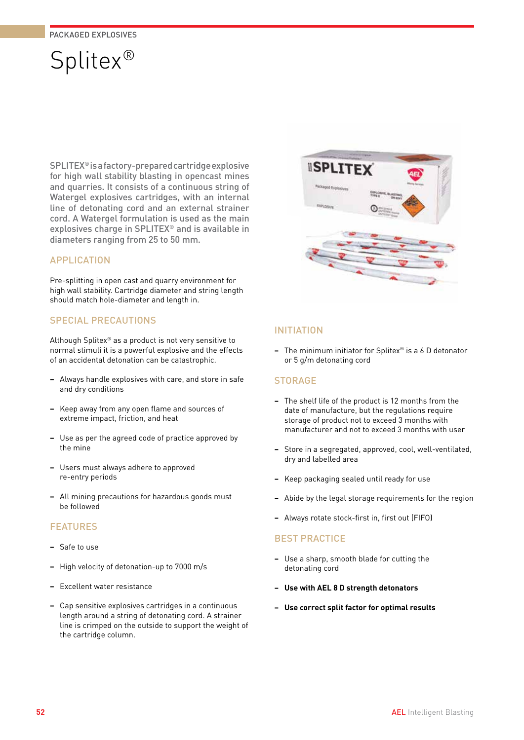# Splitex®

SPLITEX® is a factory-prepared cartridge explosive for high wall stability blasting in opencast mines and quarries. It consists of a continuous string of Watergel explosives cartridges, with an internal line of detonating cord and an external strainer cord. A Watergel formulation is used as the main explosives charge in SPLITEX® and is available in diameters ranging from 25 to 50 mm.

## APPLICATION

Pre-splitting in open cast and quarry environment for high wall stability. Cartridge diameter and string length should match hole-diameter and length in.

## SPECIAL PRECAUTIONS

Although Splitex® as a product is not very sensitive to normal stimuli it is a powerful explosive and the effects of an accidental detonation can be catastrophic.

- **−** Always handle explosives with care, and store in safe and dry conditions
- **−** Keep away from any open flame and sources of extreme impact, friction, and heat
- **−** Use as per the agreed code of practice approved by the mine
- **−** Users must always adhere to approved re-entry periods
- **−** All mining precautions for hazardous goods must be followed

## FEATURES

- **−** Safe to use
- **−** High velocity of detonation-up to 7000 m/s
- **−** Excellent water resistance
- **−** Cap sensitive explosives cartridges in a continuous length around a string of detonating cord. A strainer line is crimped on the outside to support the weight of the cartridge column.



## INITIATION

**−** The minimum initiator for Splitex® is a 6 D detonator or 5 g/m detonating cord

## **STORAGE**

- **−** The shelf life of the product is 12 months from the date of manufacture, but the regulations require storage of product not to exceed 3 months with manufacturer and not to exceed 3 months with user
- **−** Store in a segregated, approved, cool, well-ventilated, dry and labelled area
- **−** Keep packaging sealed until ready for use
- **−** Abide by the legal storage requirements for the region
- **−** Always rotate stock-first in, first out (FIFO)

- **−** Use a sharp, smooth blade for cutting the detonating cord
- **− Use with AEL 8 D strength detonators**
- **− Use correct split factor for optimal results**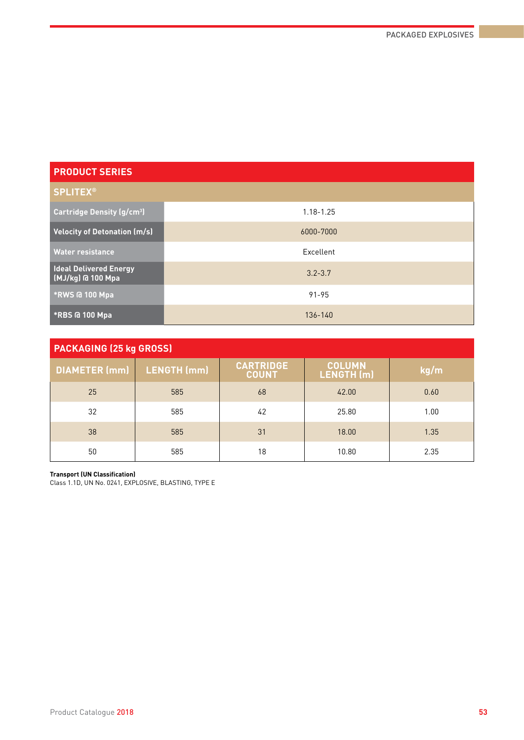| <b>PRODUCT SERIES</b>                             |               |
|---------------------------------------------------|---------------|
| <b>SPLITEX®</b>                                   |               |
| <b>Cartridge Density (g/cm<sup>3</sup>)</b>       | $1.18 - 1.25$ |
| <b>Velocity of Detonation (m/s)</b>               | 6000-7000     |
| <b>Water resistance</b>                           | Excellent     |
| <b>Ideal Delivered Energy</b><br>MJ/kg) @ 100 Mpa | $3.2 - 3.7$   |
| *RWS @ 100 Mpa                                    | $91 - 95$     |
| *RBS @ 100 Mpa                                    | 136-140       |

| <b>PACKAGING (25 kg GROSS)</b> |                    |                                  |                             |      |  |  |  |
|--------------------------------|--------------------|----------------------------------|-----------------------------|------|--|--|--|
| <b>DIAMETER (mm)</b>           | <b>LENGTH</b> (mm) | <b>CARTRIDGE</b><br><b>COUNT</b> | <b>COLUMN</b><br>LENGTH (m) | kg/m |  |  |  |
| 25                             | 585                | 68                               | 42.00                       | 0.60 |  |  |  |
| 32                             | 585                | 42                               | 25.80                       | 1.00 |  |  |  |
| 38                             | 585                | 31                               | 18.00                       | 1.35 |  |  |  |
| 50                             | 585                | 18                               | 10.80                       | 2.35 |  |  |  |

#### **Transport (UN Classification)**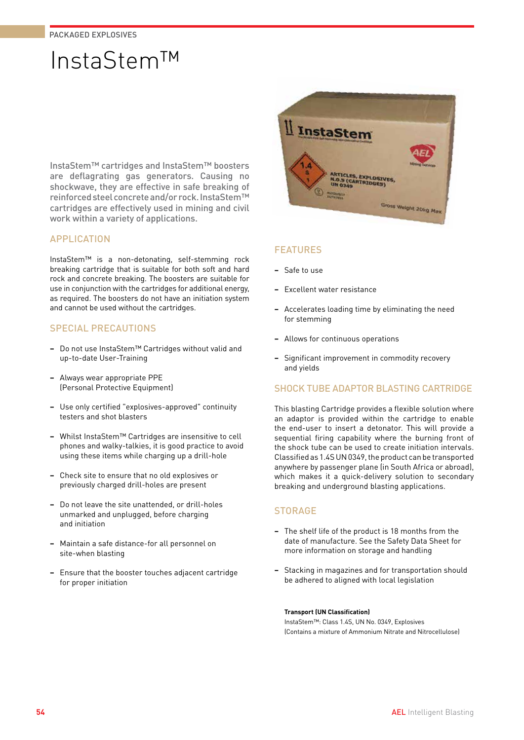# InstaStem™

InstaStem™ cartridges and InstaStem™ boosters are deflagrating gas generators. Causing no shockwave, they are effective in safe breaking of reinforced steel concrete and/or rock. InstaStem™ cartridges are effectively used in mining and civil work within a variety of applications.

## APPLICATION

InstaStem™ is a non-detonating, self-stemming rock breaking cartridge that is suitable for both soft and hard rock and concrete breaking. The boosters are suitable for use in conjunction with the cartridges for additional energy, as required. The boosters do not have an initiation system and cannot be used without the cartridges.

## SPECIAL PRECAUTIONS

- **−** Do not use InstaStem™ Cartridges without valid and up-to-date User-Training
- **−** Always wear appropriate PPE (Personal Protective Equipment)
- **−** Use only certified "explosives-approved" continuity testers and shot blasters
- **−** Whilst InstaStem™ Cartridges are insensitive to cell phones and walky-talkies, it is good practice to avoid using these items while charging up a drill-hole
- **−** Check site to ensure that no old explosives or previously charged drill-holes are present
- **−** Do not leave the site unattended, or drill-holes unmarked and unplugged, before charging and initiation
- **−** Maintain a safe distance-for all personnel on site-when blasting
- **−** Ensure that the booster touches adjacent cartridge for proper initiation



## FEATURES

- **−** Safe to use
- **−** Excellent water resistance
- **−** Accelerates loading time by eliminating the need for stemming
- **−** Allows for continuous operations
- **−** Significant improvement in commodity recovery and yields

## SHOCK TUBE ADAPTOR BLASTING CARTRIDGE

This blasting Cartridge provides a flexible solution where an adaptor is provided within the cartridge to enable the end-user to insert a detonator. This will provide a sequential firing capability where the burning front of the shock tube can be used to create initiation intervals. Classified as 1.4S UN 0349, the product can be transported anywhere by passenger plane (in South Africa or abroad), which makes it a quick-delivery solution to secondary breaking and underground blasting applications.

## **STORAGE**

- **−** The shelf life of the product is 18 months from the date of manufacture. See the Safety Data Sheet for more information on storage and handling
- **−** Stacking in magazines and for transportation should be adhered to aligned with local legislation

#### **Transport (UN Classification)**

InstaStem™: Class 1.4S, UN No. 0349, Explosives (Contains a mixture of Ammonium Nitrate and Nitrocellulose)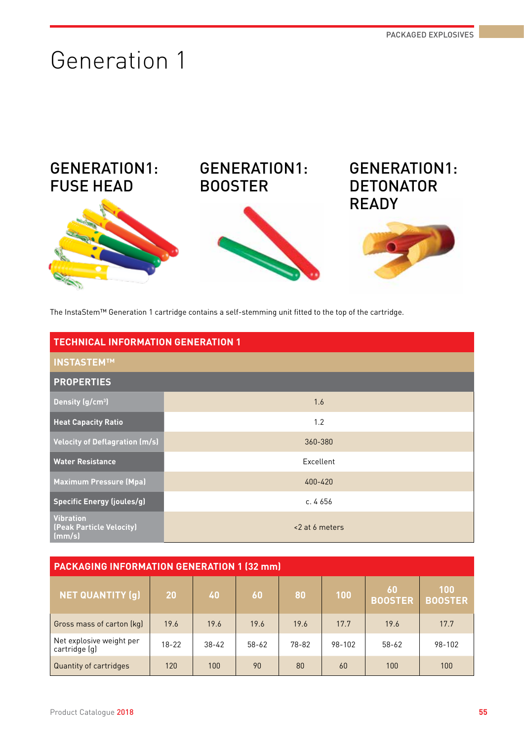# Generation 1



The InstaStem™ Generation 1 cartridge contains a self-stemming unit fitted to the top of the cartridge.

| <b>TECHNICAL INFORMATION GENERATION 1</b>              |                |  |  |  |
|--------------------------------------------------------|----------------|--|--|--|
| <b>INSTASTEMTM</b>                                     |                |  |  |  |
| <b>PROPERTIES</b>                                      |                |  |  |  |
| Density (g/cm <sup>3</sup> )                           | 1.6            |  |  |  |
| <b>Heat Capacity Ratio</b>                             | 1.2            |  |  |  |
| <b>Velocity of Deflagration (m/s)</b>                  | 360-380        |  |  |  |
| <b>Water Resistance</b>                                | Excellent      |  |  |  |
| <b>Maximum Pressure (Mpa)</b>                          | 400-420        |  |  |  |
| <b>Specific Energy (joules/g)</b>                      | c. $4656$      |  |  |  |
| <b>Vibration</b><br>(Peak Particle Velocity)<br>(mm/s) | <2 at 6 meters |  |  |  |

| <b>PACKAGING INFORMATION GENERATION 1 (32 mm)</b> |           |           |           |       |        |                      |                       |  |  |
|---------------------------------------------------|-----------|-----------|-----------|-------|--------|----------------------|-----------------------|--|--|
| <b>NET QUANTITY (g)</b>                           | 20        | 40        | 60        | 80    | 100    | 60<br><b>BOOSTER</b> | 100<br><b>BOOSTER</b> |  |  |
| Gross mass of carton (kg)                         | 19.6      | 19.6      | 19.6      | 19.6  | 17.7   | 19.6                 | 17.7                  |  |  |
| Net explosive weight per<br>cartridge (g)         | $18 - 22$ | $38 - 42$ | $58 - 62$ | 78-82 | 98-102 | $58 - 62$            | 98-102                |  |  |
| Quantity of cartridges                            | 120       | 100       | 90        | 80    | 60     | 100                  | 100                   |  |  |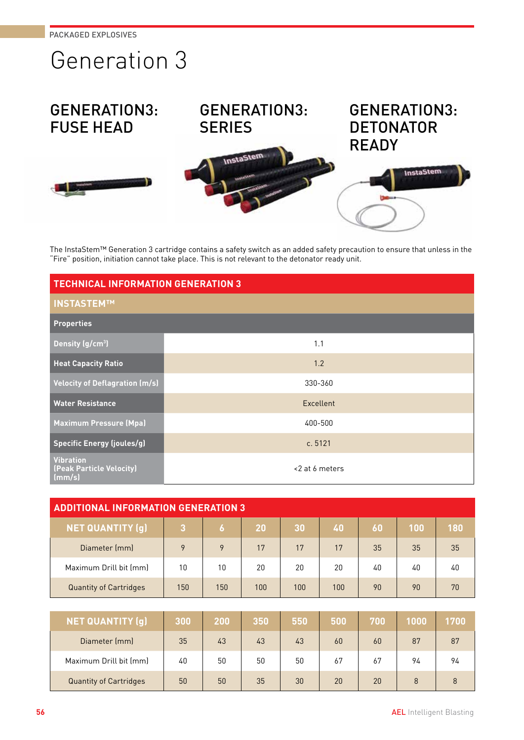# Generation 3

# GENERATION3: FUSE HEAD





InstaStem



The InstaStem™ Generation 3 cartridge contains a safety switch as an added safety precaution to ensure that unless in the "Fire" position, initiation cannot take place. This is not relevant to the detonator ready unit.

| <b>TECHNICAL INFORMATION GENERATION 3</b>              |                |  |  |  |
|--------------------------------------------------------|----------------|--|--|--|
| <b>INSTASTEMTM</b>                                     |                |  |  |  |
| <b>Properties</b>                                      |                |  |  |  |
| Density (g/cm <sup>3</sup> )                           | 1.1            |  |  |  |
| <b>Heat Capacity Ratio</b>                             | 1.2            |  |  |  |
| <b>Velocity of Deflagration (m/s)</b>                  | 330-360        |  |  |  |
| <b>Water Resistance</b>                                | Excellent      |  |  |  |
| <b>Maximum Pressure (Mpa)</b>                          | 400-500        |  |  |  |
| <b>Specific Energy (joules/g)</b>                      | c.5121         |  |  |  |
| <b>Vibration</b><br>(Peak Particle Velocity)<br>(mm/s) | <2 at 6 meters |  |  |  |

| <b>ADDITIONAL INFORMATION GENERATION 3</b> |     |     |           |     |     |    |     |     |
|--------------------------------------------|-----|-----|-----------|-----|-----|----|-----|-----|
| <b>NET QUANTITY (g)</b>                    | 3   | 6   | <b>20</b> | 30  | 40  | 60 | 100 | 180 |
| Diameter (mm)                              | 9   | 9   | 17        | 17  | 17  | 35 | 35  | 35  |
| Maximum Drill bit (mm)                     | 10  | 10  | 20        | 20  | 20  | 40 | 40  | 40  |
| <b>Quantity of Cartridges</b>              | 150 | 150 | 100       | 100 | 100 | 90 | 90  | 70  |

| <b>NET QUANTITY (q)</b>       | 300 | 200 | 350 | 550 | 500 | 700 | 1000 | 1700' |
|-------------------------------|-----|-----|-----|-----|-----|-----|------|-------|
| Diameter (mm)                 | 35  | 43  | 43  | 43  | 60  | 60  | 87   | 87    |
| Maximum Drill bit (mm)        | 40  | 50  | 50  | 50  | 67  | 67  | 94   | 94    |
| <b>Quantity of Cartridges</b> | 50  | 50  | 35  | 30  | 20  | 20  | 8    | 8     |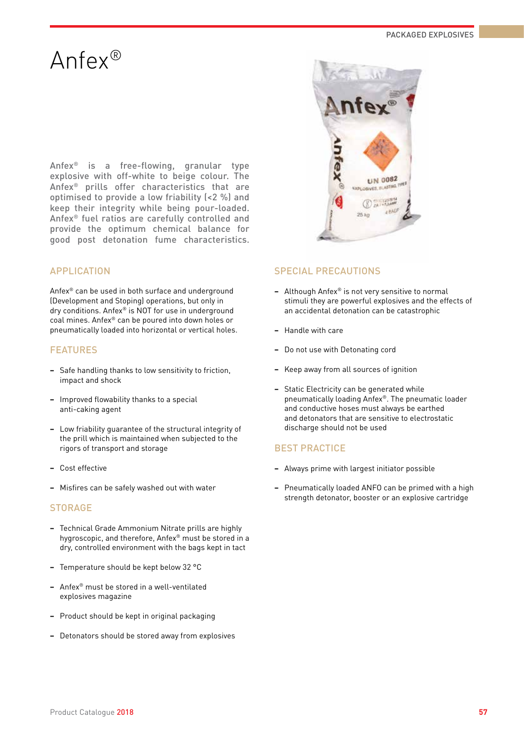# Anfex®

Anfex® is a free-flowing, granular type explosive with off-white to beige colour. The Anfex® prills offer characteristics that are optimised to provide a low friability (<2 %) and keep their integrity while being pour-loaded. Anfex® fuel ratios are carefully controlled and provide the optimum chemical balance for

good post detonation fume characteristics.

## APPLICATION

Anfex® can be used in both surface and underground (Development and Stoping) operations, but only in dry conditions. Anfex® is NOT for use in underground coal mines. Anfex® can be poured into down holes or pneumatically loaded into horizontal or vertical holes.

### FEATURES

- **−** Safe handling thanks to low sensitivity to friction, impact and shock
- **−** Improved flowability thanks to a special anti-caking agent
- **−** Low friability guarantee of the structural integrity of the prill which is maintained when subjected to the rigors of transport and storage
- **−** Cost effective
- **−** Misfires can be safely washed out with water

### **STORAGE**

- **−** Technical Grade Ammonium Nitrate prills are highly hygroscopic, and therefore, Anfex® must be stored in a dry, controlled environment with the bags kept in tact
- **−** Temperature should be kept below 32 °C
- **−** Anfex® must be stored in a well-ventilated explosives magazine
- **−** Product should be kept in original packaging
- **−** Detonators should be stored away from explosives



### SPECIAL PRECAUTIONS

- **−** Although Anfex® is not very sensitive to normal stimuli they are powerful explosives and the effects of an accidental detonation can be catastrophic
- **−** Handle with care
- **−** Do not use with Detonating cord
- **−** Keep away from all sources of ignition
- **−** Static Electricity can be generated while pneumatically loading Anfex®. The pneumatic loader and conductive hoses must always be earthed and detonators that are sensitive to electrostatic discharge should not be used

- **−** Always prime with largest initiator possible
- **−** Pneumatically loaded ANFO can be primed with a high strength detonator, booster or an explosive cartridge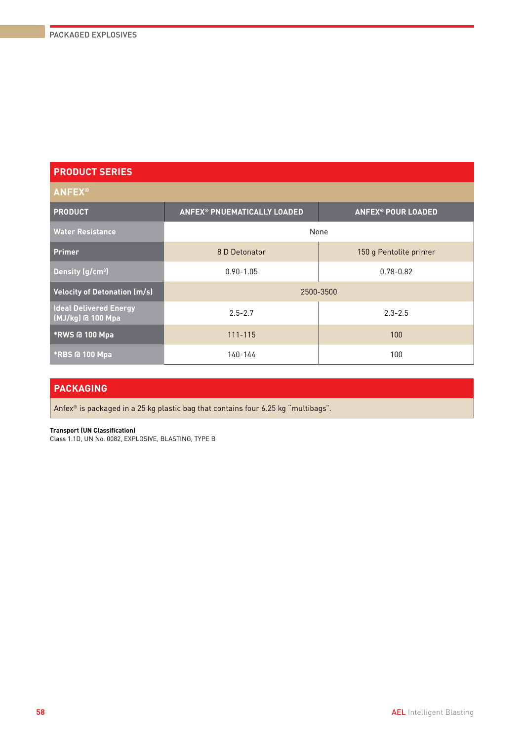# **ANFEX® PRODUCT ANFEX® PNUEMATICALLY LOADED ANFEX® POUR LOADED Water Resistance** None None None **Primer Primer 150 g Pentolite primer 150 g Pentolite primer Density (g/cm3 )** 0.90-1.05 0.78-0.82 **Velocity of Detonation (m/s)** 2500-3500 **Ideal Delivered Energy (MJ/kg) @ 100 Mpa** 2.5-2.7 2.3-2.5 **\*RWS @ 100 Mpa** 111-115 100 **\*RBS @ 100 Mpa** 140-144 140-144 100

## **PACKAGING**

Anfex® is packaged in a 25 kg plastic bag that contains four 6.25 kg "multibags".

#### **Transport (UN Classification)**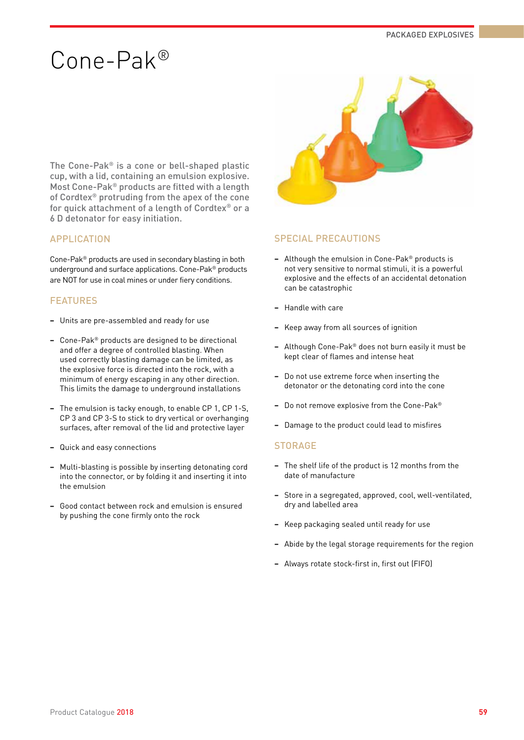# Cone-Pak®

The Cone-Pak® is a cone or bell-shaped plastic cup, with a lid, containing an emulsion explosive. Most Cone-Pak® products are fitted with a length of Cordtex® protruding from the apex of the cone for quick attachment of a length of Cordtex® or a 6 D detonator for easy initiation.

## APPLICATION

Cone-Pak® products are used in secondary blasting in both underground and surface applications. Cone-Pak® products are NOT for use in coal mines or under fiery conditions.

### FEATURES

- **−** Units are pre-assembled and ready for use
- **−** Cone-Pak® products are designed to be directional and offer a degree of controlled blasting. When used correctly blasting damage can be limited, as the explosive force is directed into the rock, with a minimum of energy escaping in any other direction. This limits the damage to underground installations
- **−** The emulsion is tacky enough, to enable CP 1, CP 1-S, CP 3 and CP 3-S to stick to dry vertical or overhanging surfaces, after removal of the lid and protective layer
- **−** Quick and easy connections
- **−** Multi-blasting is possible by inserting detonating cord into the connector, or by folding it and inserting it into the emulsion
- **−** Good contact between rock and emulsion is ensured by pushing the cone firmly onto the rock



### SPECIAL PRECAUTIONS

- **−** Although the emulsion in Cone-Pak® products is not very sensitive to normal stimuli, it is a powerful explosive and the effects of an accidental detonation can be catastrophic
- **−** Handle with care
- **−** Keep away from all sources of ignition
- **−** Although Cone-Pak® does not burn easily it must be kept clear of flames and intense heat
- **−** Do not use extreme force when inserting the detonator or the detonating cord into the cone
- **−** Do not remove explosive from the Cone-Pak®
- **−** Damage to the product could lead to misfires

### **STORAGE**

- **−** The shelf life of the product is 12 months from the date of manufacture
- **−** Store in a segregated, approved, cool, well-ventilated, dry and labelled area
- **−** Keep packaging sealed until ready for use
- **−** Abide by the legal storage requirements for the region
- **−** Always rotate stock-first in, first out (FIFO)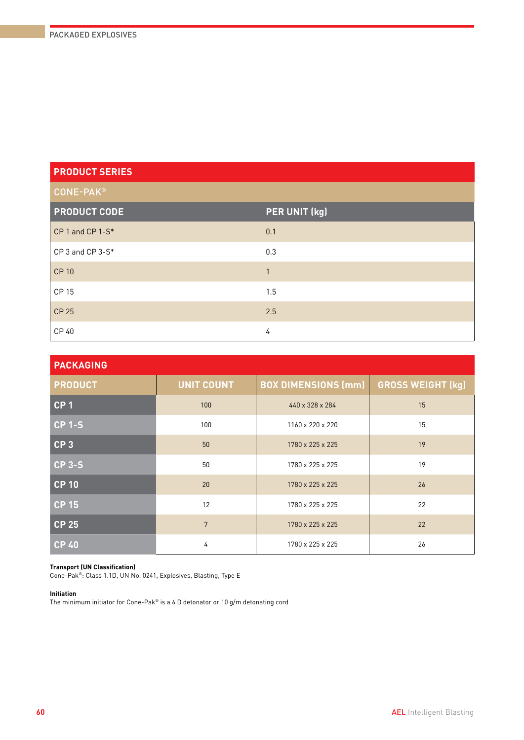| <b>CONE-PAK®</b>    |               |  |  |  |  |
|---------------------|---------------|--|--|--|--|
| <b>PRODUCT CODE</b> | PER UNIT (kg) |  |  |  |  |
| CP 1 and CP 1-S*    | 0.1           |  |  |  |  |
| CP 3 and CP 3-S*    | 0.3           |  |  |  |  |
| <b>CP 10</b>        |               |  |  |  |  |
| <b>CP15</b>         | 1.5           |  |  |  |  |
| <b>CP 25</b>        | 2.5           |  |  |  |  |
| CP 40               | 4             |  |  |  |  |

| <b>PACKAGING</b> |                   |                            |                          |  |  |  |  |  |  |
|------------------|-------------------|----------------------------|--------------------------|--|--|--|--|--|--|
| <b>PRODUCT</b>   | <b>UNIT COUNT</b> | <b>BOX DIMENSIONS (mm)</b> | <b>GROSS WEIGHT (kg)</b> |  |  |  |  |  |  |
| CP <sub>1</sub>  | 100               | 440 x 328 x 284            | 15                       |  |  |  |  |  |  |
| <b>CP 1-S</b>    | 100               | 1160 x 220 x 220           | 15                       |  |  |  |  |  |  |
| CP <sub>3</sub>  | 50                | 1780 x 225 x 225           | 19                       |  |  |  |  |  |  |
| $CP$ 3-S         | 50                | 1780 x 225 x 225           | 19                       |  |  |  |  |  |  |
| <b>CP 10</b>     | 20                | 1780 x 225 x 225           | 26                       |  |  |  |  |  |  |
| $CP$ 15          | 12                | 1780 x 225 x 225           | 22                       |  |  |  |  |  |  |
| <b>CP 25</b>     | $7\phantom{.}$    | 1780 x 225 x 225           | 22                       |  |  |  |  |  |  |
| <b>CP40</b>      | 4                 | 1780 x 225 x 225           | 26                       |  |  |  |  |  |  |

#### **Transport (UN Classification)**

Cone-Pak®: Class 1.1D, UN No. 0241, Explosives, Blasting, Type E

#### **Initiation**

The minimum initiator for Cone-Pak® is a 6 D detonator or 10 g/m detonating cord